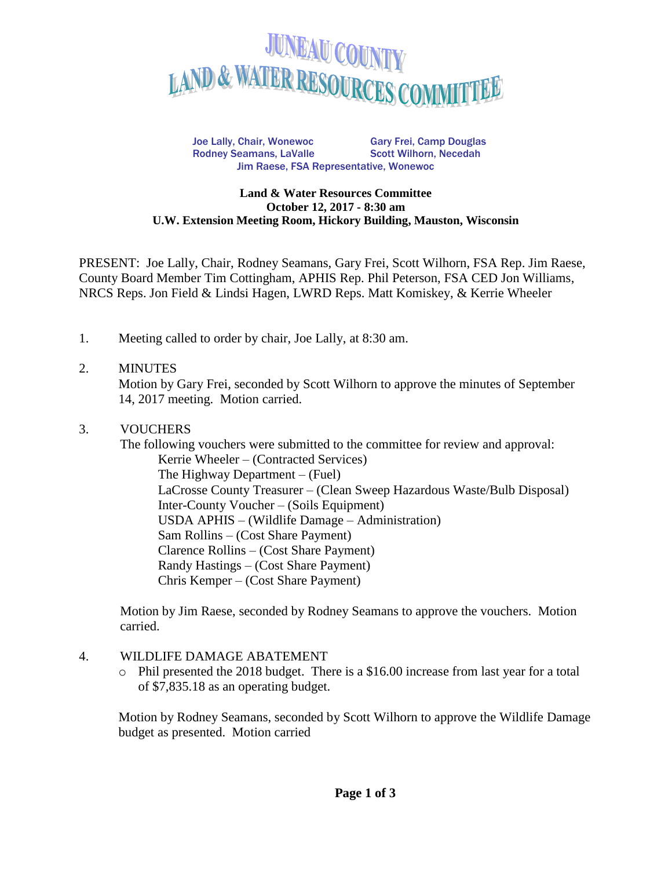

Joe Lally, Chair, Wonewoc Gary Frei, Camp Douglas Rodney Seamans, LaValle Scott Wilhorn, Necedah Jim Raese, FSA Representative, Wonewoc

#### **Land & Water Resources Committee October 12, 2017 - 8:30 am U.W. Extension Meeting Room, Hickory Building, Mauston, Wisconsin**

PRESENT: Joe Lally, Chair, Rodney Seamans, Gary Frei, Scott Wilhorn, FSA Rep. Jim Raese, County Board Member Tim Cottingham, APHIS Rep. Phil Peterson, FSA CED Jon Williams, NRCS Reps. Jon Field & Lindsi Hagen, LWRD Reps. Matt Komiskey, & Kerrie Wheeler

1. Meeting called to order by chair, Joe Lally, at 8:30 am.

### 2. MINUTES

Motion by Gary Frei, seconded by Scott Wilhorn to approve the minutes of September 14, 2017 meeting. Motion carried.

### 3. VOUCHERS

The following vouchers were submitted to the committee for review and approval: Kerrie Wheeler – (Contracted Services) The Highway Department – (Fuel) LaCrosse County Treasurer – (Clean Sweep Hazardous Waste/Bulb Disposal) Inter-County Voucher – (Soils Equipment) USDA APHIS – (Wildlife Damage – Administration) Sam Rollins – (Cost Share Payment) Clarence Rollins – (Cost Share Payment) Randy Hastings – (Cost Share Payment) Chris Kemper – (Cost Share Payment)

Motion by Jim Raese, seconded by Rodney Seamans to approve the vouchers. Motion carried.

#### 4. WILDLIFE DAMAGE ABATEMENT

o Phil presented the 2018 budget. There is a \$16.00 increase from last year for a total of \$7,835.18 as an operating budget.

Motion by Rodney Seamans, seconded by Scott Wilhorn to approve the Wildlife Damage budget as presented. Motion carried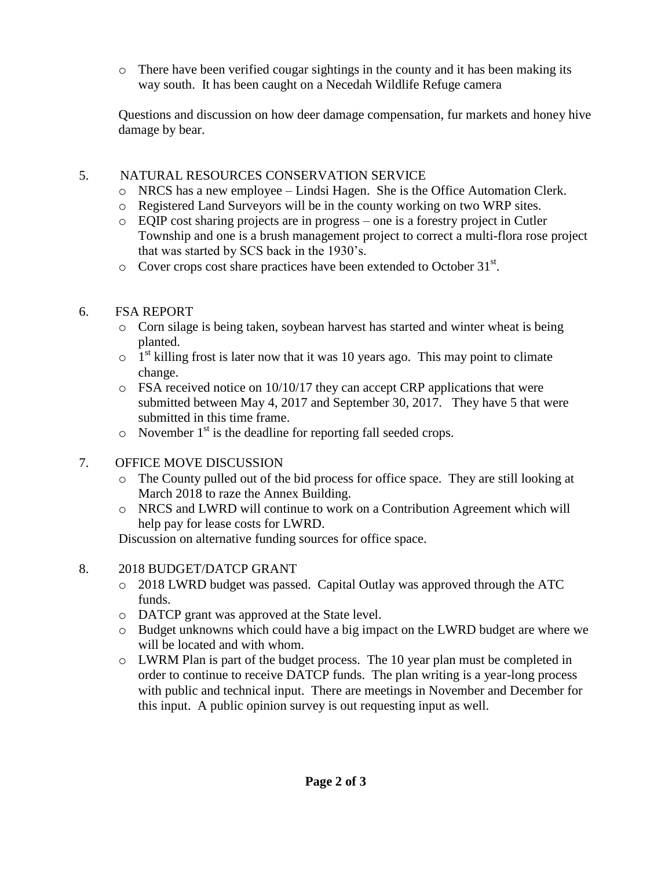$\circ$  There have been verified cougar sightings in the county and it has been making its way south. It has been caught on a Necedah Wildlife Refuge camera

Questions and discussion on how deer damage compensation, fur markets and honey hive damage by bear.

# 5. NATURAL RESOURCES CONSERVATION SERVICE

- o NRCS has a new employee Lindsi Hagen. She is the Office Automation Clerk.
- o Registered Land Surveyors will be in the county working on two WRP sites.
- o EQIP cost sharing projects are in progress one is a forestry project in Cutler Township and one is a brush management project to correct a multi-flora rose project that was started by SCS back in the 1930's.
- $\circ$  Cover crops cost share practices have been extended to October 31<sup>st</sup>.

# 6. FSA REPORT

- o Corn silage is being taken, soybean harvest has started and winter wheat is being planted.
- $\circ$  1<sup>st</sup> killing frost is later now that it was 10 years ago. This may point to climate change.
- o FSA received notice on 10/10/17 they can accept CRP applications that were submitted between May 4, 2017 and September 30, 2017. They have 5 that were submitted in this time frame.
- $\circ$  November 1<sup>st</sup> is the deadline for reporting fall seeded crops.
- 7. OFFICE MOVE DISCUSSION
	- o The County pulled out of the bid process for office space. They are still looking at March 2018 to raze the Annex Building.
	- o NRCS and LWRD will continue to work on a Contribution Agreement which will help pay for lease costs for LWRD.

Discussion on alternative funding sources for office space.

- 8. 2018 BUDGET/DATCP GRANT
	- o 2018 LWRD budget was passed. Capital Outlay was approved through the ATC funds.
	- o DATCP grant was approved at the State level.
	- o Budget unknowns which could have a big impact on the LWRD budget are where we will be located and with whom.
	- o LWRM Plan is part of the budget process. The 10 year plan must be completed in order to continue to receive DATCP funds. The plan writing is a year-long process with public and technical input. There are meetings in November and December for this input. A public opinion survey is out requesting input as well.